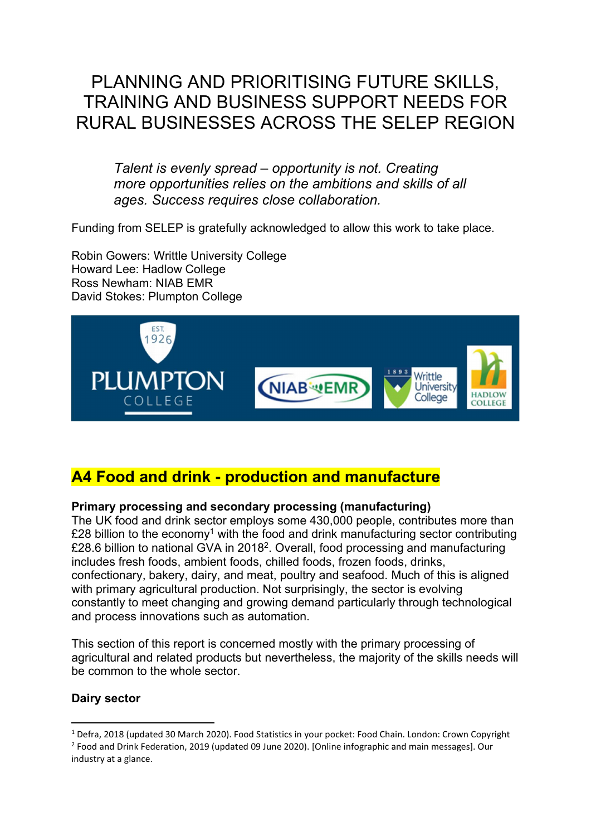# PLANNING AND PRIORITISING FUTURE SKILLS, TRAINING AND BUSINESS SUPPORT NEEDS FOR RURAL BUSINESSES ACROSS THE SELEP REGION

Talent is evenly spread – opportunity is not. Creating more opportunities relies on the ambitions and skills of all ages. Success requires close collaboration.

Funding from SELEP is gratefully acknowledged to allow this work to take place.

Robin Gowers: Writtle University College Howard Lee: Hadlow College Ross Newham: NIAB EMR David Stokes: Plumpton College



## A4 Food and drink - production and manufacture

### Primary processing and secondary processing (manufacturing)

The UK food and drink sector employs some 430,000 people, contributes more than £28 billion to the economy<sup>1</sup> with the food and drink manufacturing sector contributing £28.6 billion to national GVA in 2018<sup>2</sup>. Overall, food processing and manufacturing includes fresh foods, ambient foods, chilled foods, frozen foods, drinks, confectionary, bakery, dairy, and meat, poultry and seafood. Much of this is aligned with primary agricultural production. Not surprisingly, the sector is evolving constantly to meet changing and growing demand particularly through technological and process innovations such as automation.

This section of this report is concerned mostly with the primary processing of agricultural and related products but nevertheless, the majority of the skills needs will be common to the whole sector

### Dairy sector

<sup>&</sup>lt;sup>1</sup> Defra, 2018 (updated 30 March 2020). Food Statistics in your pocket: Food Chain. London: Crown Copyright <sup>2</sup> Food and Drink Federation, 2019 (updated 09 June 2020). [Online infographic and main messages]. Our industry at a glance.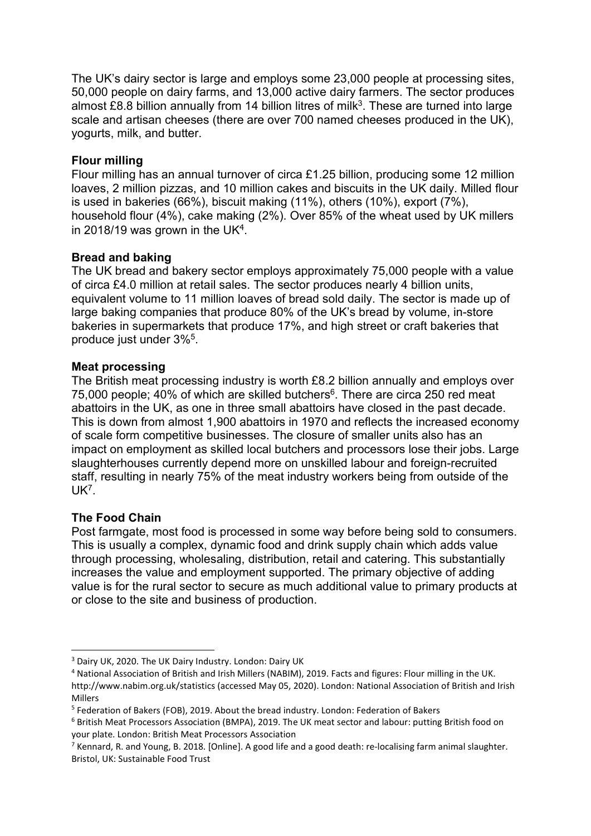The UK's dairy sector is large and employs some 23,000 people at processing sites, 50,000 people on dairy farms, and 13,000 active dairy farmers. The sector produces almost £8.8 billion annually from 14 billion litres of milk<sup>3</sup>. These are turned into large scale and artisan cheeses (there are over 700 named cheeses produced in the UK), yogurts, milk, and butter.

### Flour milling

Flour milling has an annual turnover of circa £1.25 billion, producing some 12 million loaves, 2 million pizzas, and 10 million cakes and biscuits in the UK daily. Milled flour is used in bakeries (66%), biscuit making (11%), others (10%), export (7%), household flour (4%), cake making (2%). Over 85% of the wheat used by UK millers in 2018/19 was grown in the UK<sup>4</sup>.

### Bread and baking

The UK bread and bakery sector employs approximately 75,000 people with a value of circa £4.0 million at retail sales. The sector produces nearly 4 billion units, equivalent volume to 11 million loaves of bread sold daily. The sector is made up of large baking companies that produce 80% of the UK's bread by volume, in-store bakeries in supermarkets that produce 17%, and high street or craft bakeries that produce just under 3%<sup>5</sup> .

### Meat processing

The British meat processing industry is worth £8.2 billion annually and employs over 75,000 people; 40% of which are skilled butchers $6$ . There are circa 250 red meat abattoirs in the UK, as one in three small abattoirs have closed in the past decade. This is down from almost 1,900 abattoirs in 1970 and reflects the increased economy of scale form competitive businesses. The closure of smaller units also has an impact on employment as skilled local butchers and processors lose their jobs. Large slaughterhouses currently depend more on unskilled labour and foreign-recruited staff, resulting in nearly 75% of the meat industry workers being from outside of the UK<sup>7</sup> .

### The Food Chain

Post farmgate, most food is processed in some way before being sold to consumers. This is usually a complex, dynamic food and drink supply chain which adds value through processing, wholesaling, distribution, retail and catering. This substantially increases the value and employment supported. The primary objective of adding value is for the rural sector to secure as much additional value to primary products at or close to the site and business of production.

<sup>3</sup> Dairy UK, 2020. The UK Dairy Industry. London: Dairy UK

<sup>4</sup> National Association of British and Irish Millers (NABIM), 2019. Facts and figures: Flour milling in the UK. http://www.nabim.org.uk/statistics (accessed May 05, 2020). London: National Association of British and Irish Millers

<sup>&</sup>lt;sup>5</sup> Federation of Bakers (FOB), 2019. About the bread industry. London: Federation of Bakers

<sup>6</sup> British Meat Processors Association (BMPA), 2019. The UK meat sector and labour: putting British food on your plate. London: British Meat Processors Association

<sup>&</sup>lt;sup>7</sup> Kennard, R. and Young, B. 2018. [Online]. A good life and a good death: re-localising farm animal slaughter. Bristol, UK: Sustainable Food Trust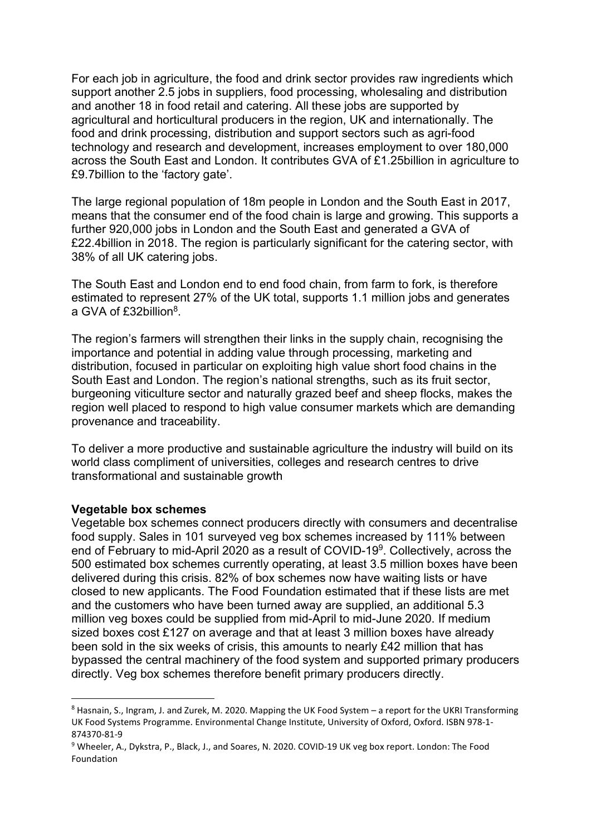For each job in agriculture, the food and drink sector provides raw ingredients which support another 2.5 jobs in suppliers, food processing, wholesaling and distribution and another 18 in food retail and catering. All these jobs are supported by agricultural and horticultural producers in the region, UK and internationally. The food and drink processing, distribution and support sectors such as agri-food technology and research and development, increases employment to over 180,000 across the South East and London. It contributes GVA of £1.25billion in agriculture to £9.7billion to the 'factory gate'.

The large regional population of 18m people in London and the South East in 2017, means that the consumer end of the food chain is large and growing. This supports a further 920,000 jobs in London and the South East and generated a GVA of £22.4billion in 2018. The region is particularly significant for the catering sector, with 38% of all UK catering jobs.

The South East and London end to end food chain, from farm to fork, is therefore estimated to represent 27% of the UK total, supports 1.1 million jobs and generates a GVA of £32billion<sup>8</sup>.

The region's farmers will strengthen their links in the supply chain, recognising the importance and potential in adding value through processing, marketing and distribution, focused in particular on exploiting high value short food chains in the South East and London. The region's national strengths, such as its fruit sector, burgeoning viticulture sector and naturally grazed beef and sheep flocks, makes the region well placed to respond to high value consumer markets which are demanding provenance and traceability.

To deliver a more productive and sustainable agriculture the industry will build on its world class compliment of universities, colleges and research centres to drive transformational and sustainable growth

#### Vegetable box schemes

Vegetable box schemes connect producers directly with consumers and decentralise food supply. Sales in 101 surveyed veg box schemes increased by 111% between end of February to mid-April 2020 as a result of COVID-19<sup>9</sup>. Collectively, across the 500 estimated box schemes currently operating, at least 3.5 million boxes have been delivered during this crisis. 82% of box schemes now have waiting lists or have closed to new applicants. The Food Foundation estimated that if these lists are met and the customers who have been turned away are supplied, an additional 5.3 million veg boxes could be supplied from mid-April to mid-June 2020. If medium sized boxes cost £127 on average and that at least 3 million boxes have already been sold in the six weeks of crisis, this amounts to nearly £42 million that has bypassed the central machinery of the food system and supported primary producers directly. Veg box schemes therefore benefit primary producers directly.

<sup>&</sup>lt;sup>8</sup> Hasnain, S., Ingram, J. and Zurek, M. 2020. Mapping the UK Food System - a report for the UKRI Transforming UK Food Systems Programme. Environmental Change Institute, University of Oxford, Oxford. ISBN 978-1- 874370-81-9

<sup>&</sup>lt;sup>9</sup> Wheeler, A., Dykstra, P., Black, J., and Soares, N. 2020. COVID-19 UK veg box report. London: The Food Foundation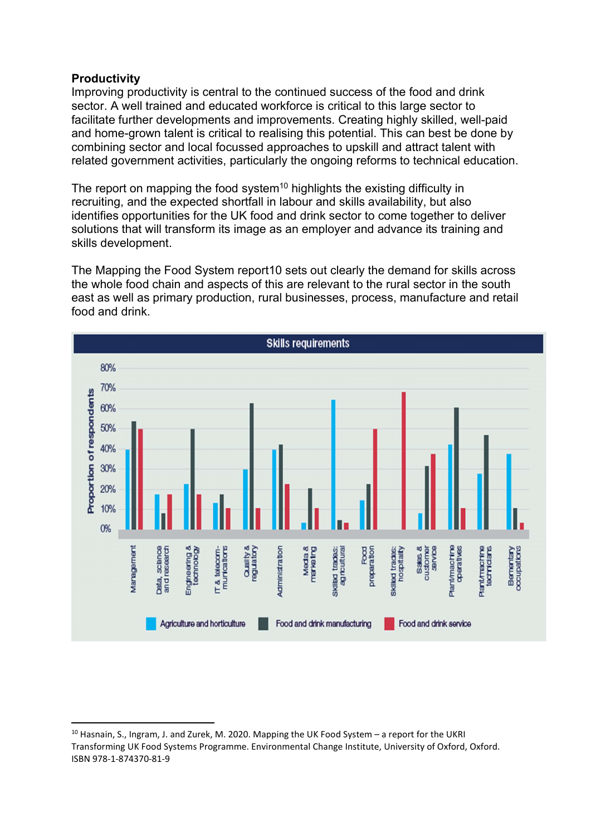### **Productivity**

Improving productivity is central to the continued success of the food and drink sector. A well trained and educated workforce is critical to this large sector to facilitate further developments and improvements. Creating highly skilled, well-paid and home-grown talent is critical to realising this potential. This can best be done by combining sector and local focussed approaches to upskill and attract talent with related government activities, particularly the ongoing reforms to technical education.

The report on mapping the food system<sup>10</sup> highlights the existing difficulty in recruiting, and the expected shortfall in labour and skills availability, but also identifies opportunities for the UK food and drink sector to come together to deliver solutions that will transform its image as an employer and advance its training and skills development.

The Mapping the Food System report10 sets out clearly the demand for skills across the whole food chain and aspects of this are relevant to the rural sector in the south east as well as primary production, rural businesses, process, manufacture and retail food and drink.



<sup>&</sup>lt;sup>10</sup> Hasnain, S., Ingram, J. and Zurek, M. 2020. Mapping the UK Food System – a report for the UKRI Transforming UK Food Systems Programme. Environmental Change Institute, University of Oxford, Oxford. ISBN 978-1-874370-81-9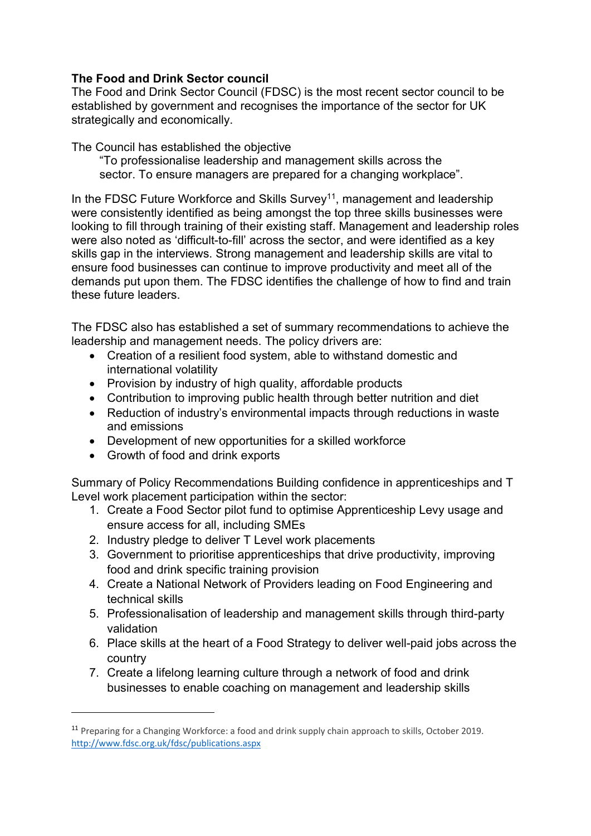### The Food and Drink Sector council

The Food and Drink Sector Council (FDSC) is the most recent sector council to be established by government and recognises the importance of the sector for UK strategically and economically.

The Council has established the objective

"To professionalise leadership and management skills across the sector. To ensure managers are prepared for a changing workplace".

In the FDSC Future Workforce and Skills Survey<sup>11</sup>, management and leadership were consistently identified as being amongst the top three skills businesses were looking to fill through training of their existing staff. Management and leadership roles were also noted as 'difficult-to-fill' across the sector, and were identified as a key skills gap in the interviews. Strong management and leadership skills are vital to ensure food businesses can continue to improve productivity and meet all of the demands put upon them. The FDSC identifies the challenge of how to find and train these future leaders.

The FDSC also has established a set of summary recommendations to achieve the leadership and management needs. The policy drivers are:

- Creation of a resilient food system, able to withstand domestic and international volatility
- Provision by industry of high quality, affordable products
- Contribution to improving public health through better nutrition and diet
- Reduction of industry's environmental impacts through reductions in waste and emissions
- Development of new opportunities for a skilled workforce
- Growth of food and drink exports

Summary of Policy Recommendations Building confidence in apprenticeships and T Level work placement participation within the sector:

- 1. Create a Food Sector pilot fund to optimise Apprenticeship Levy usage and ensure access for all, including SMEs
- 2. Industry pledge to deliver T Level work placements
- 3. Government to prioritise apprenticeships that drive productivity, improving food and drink specific training provision
- 4. Create a National Network of Providers leading on Food Engineering and technical skills
- 5. Professionalisation of leadership and management skills through third-party validation
- 6. Place skills at the heart of a Food Strategy to deliver well-paid jobs across the country
- 7. Create a lifelong learning culture through a network of food and drink businesses to enable coaching on management and leadership skills

<sup>&</sup>lt;sup>11</sup> Preparing for a Changing Workforce: a food and drink supply chain approach to skills, October 2019. http://www.fdsc.org.uk/fdsc/publications.aspx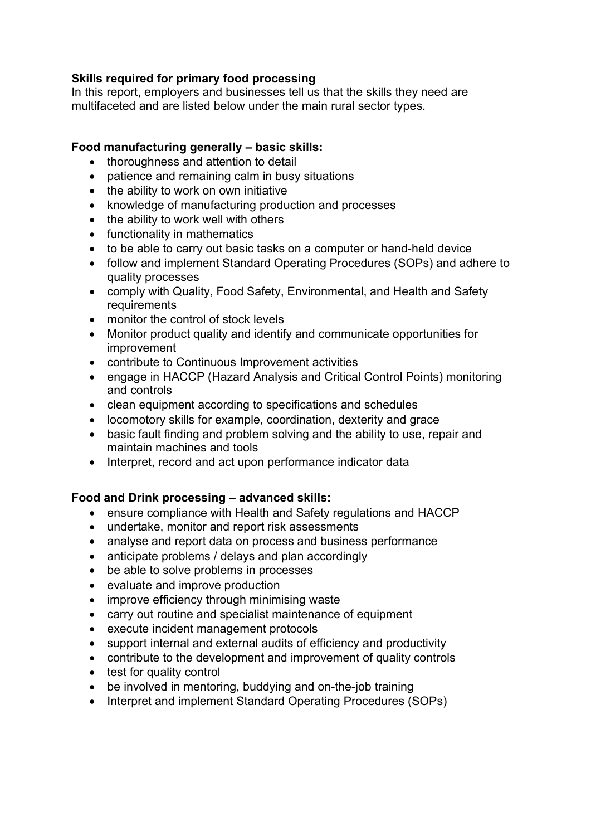### Skills required for primary food processing

In this report, employers and businesses tell us that the skills they need are multifaceted and are listed below under the main rural sector types.

### Food manufacturing generally – basic skills:

- thoroughness and attention to detail
- patience and remaining calm in busy situations
- the ability to work on own initiative
- knowledge of manufacturing production and processes
- the ability to work well with others
- functionality in mathematics
- to be able to carry out basic tasks on a computer or hand-held device
- follow and implement Standard Operating Procedures (SOPs) and adhere to quality processes
- comply with Quality, Food Safety, Environmental, and Health and Safety requirements
- monitor the control of stock levels
- Monitor product quality and identify and communicate opportunities for improvement
- contribute to Continuous Improvement activities
- engage in HACCP (Hazard Analysis and Critical Control Points) monitoring and controls
- clean equipment according to specifications and schedules
- locomotory skills for example, coordination, dexterity and grace
- basic fault finding and problem solving and the ability to use, repair and maintain machines and tools
- Interpret, record and act upon performance indicator data

### Food and Drink processing – advanced skills:

- ensure compliance with Health and Safety regulations and HACCP
- undertake, monitor and report risk assessments
- analyse and report data on process and business performance
- anticipate problems / delays and plan accordingly
- be able to solve problems in processes
- evaluate and improve production
- improve efficiency through minimising waste
- carry out routine and specialist maintenance of equipment
- execute incident management protocols
- support internal and external audits of efficiency and productivity
- contribute to the development and improvement of quality controls
- test for quality control
- be involved in mentoring, buddying and on-the-job training
- Interpret and implement Standard Operating Procedures (SOPs)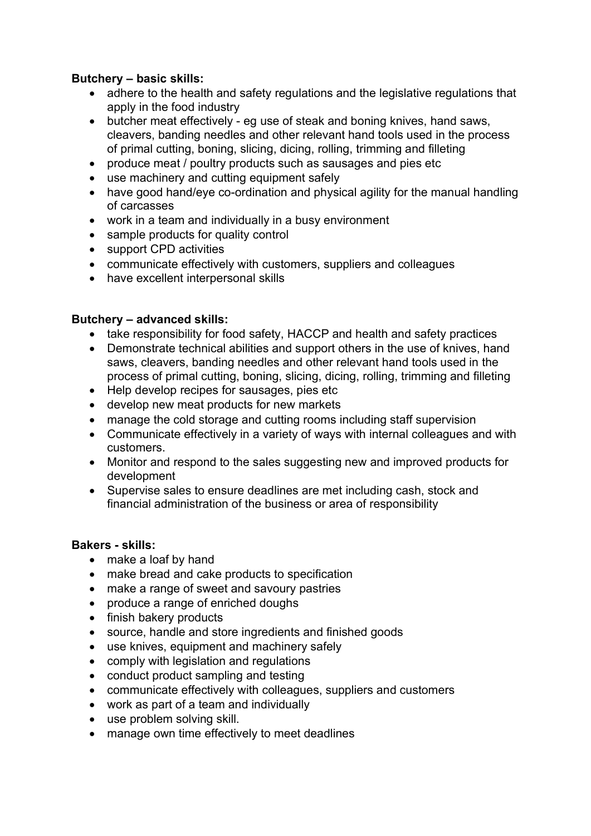### Butchery – basic skills:

- adhere to the health and safety regulations and the legislative regulations that apply in the food industry
- butcher meat effectively eg use of steak and boning knives, hand saws, cleavers, banding needles and other relevant hand tools used in the process of primal cutting, boning, slicing, dicing, rolling, trimming and filleting
- produce meat / poultry products such as sausages and pies etc
- use machinery and cutting equipment safely
- have good hand/eve co-ordination and physical agility for the manual handling of carcasses
- work in a team and individually in a busy environment
- sample products for quality control
- support CPD activities
- communicate effectively with customers, suppliers and colleagues
- have excellent interpersonal skills

### Butchery – advanced skills:

- take responsibility for food safety. HACCP and health and safety practices
- Demonstrate technical abilities and support others in the use of knives, hand saws, cleavers, banding needles and other relevant hand tools used in the process of primal cutting, boning, slicing, dicing, rolling, trimming and filleting
- Help develop recipes for sausages, pies etc
- develop new meat products for new markets
- manage the cold storage and cutting rooms including staff supervision
- Communicate effectively in a variety of ways with internal colleagues and with customers.
- Monitor and respond to the sales suggesting new and improved products for development
- Supervise sales to ensure deadlines are met including cash, stock and financial administration of the business or area of responsibility

### Bakers - skills:

- make a loaf by hand
- make bread and cake products to specification
- make a range of sweet and savoury pastries
- produce a range of enriched doughs
- finish bakery products
- source, handle and store ingredients and finished goods
- use knives, equipment and machinery safely
- comply with legislation and regulations
- conduct product sampling and testing
- communicate effectively with colleagues, suppliers and customers
- work as part of a team and individually
- use problem solving skill.
- manage own time effectively to meet deadlines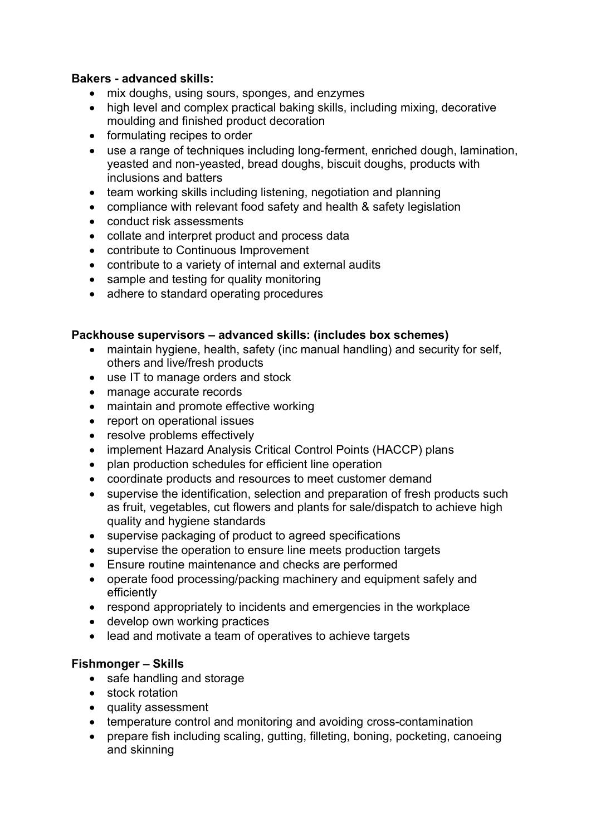### Bakers - advanced skills:

- mix doughs, using sours, sponges, and enzymes
- high level and complex practical baking skills, including mixing, decorative moulding and finished product decoration
- formulating recipes to order
- use a range of techniques including long-ferment, enriched dough, lamination, yeasted and non-yeasted, bread doughs, biscuit doughs, products with inclusions and batters
- team working skills including listening, negotiation and planning
- compliance with relevant food safety and health & safety legislation
- conduct risk assessments
- collate and interpret product and process data
- contribute to Continuous Improvement
- contribute to a variety of internal and external audits
- sample and testing for quality monitoring
- adhere to standard operating procedures

### Packhouse supervisors – advanced skills: (includes box schemes)

- maintain hygiene, health, safety (inc manual handling) and security for self, others and live/fresh products
- use IT to manage orders and stock
- manage accurate records
- maintain and promote effective working
- report on operational issues
- resolve problems effectively
- implement Hazard Analysis Critical Control Points (HACCP) plans
- plan production schedules for efficient line operation
- coordinate products and resources to meet customer demand
- supervise the identification, selection and preparation of fresh products such as fruit, vegetables, cut flowers and plants for sale/dispatch to achieve high quality and hygiene standards
- supervise packaging of product to agreed specifications
- supervise the operation to ensure line meets production targets
- Ensure routine maintenance and checks are performed
- operate food processing/packing machinery and equipment safely and efficiently
- respond appropriately to incidents and emergencies in the workplace
- develop own working practices
- lead and motivate a team of operatives to achieve targets

### Fishmonger – Skills

- safe handling and storage
- stock rotation
- quality assessment
- temperature control and monitoring and avoiding cross-contamination
- prepare fish including scaling, gutting, filleting, boning, pocketing, canoeing and skinning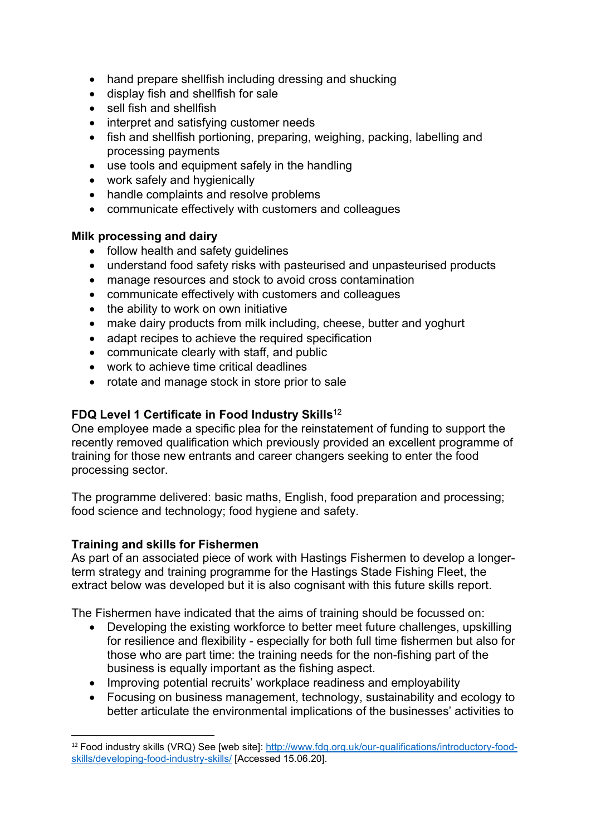- hand prepare shellfish including dressing and shucking
- display fish and shellfish for sale
- sell fish and shellfish
- interpret and satisfying customer needs
- fish and shellfish portioning, preparing, weighing, packing, labelling and processing payments
- use tools and equipment safely in the handling
- work safely and hygienically
- handle complaints and resolve problems
- communicate effectively with customers and colleagues

### Milk processing and dairy

- follow health and safety guidelines
- understand food safety risks with pasteurised and unpasteurised products
- manage resources and stock to avoid cross contamination
- communicate effectively with customers and colleagues
- the ability to work on own initiative
- make dairy products from milk including, cheese, butter and yoghurt
- adapt recipes to achieve the required specification
- communicate clearly with staff, and public
- work to achieve time critical deadlines
- rotate and manage stock in store prior to sale

### FDQ Level 1 Certificate in Food Industry Skills<sup>12</sup>

One employee made a specific plea for the reinstatement of funding to support the recently removed qualification which previously provided an excellent programme of training for those new entrants and career changers seeking to enter the food processing sector.

The programme delivered: basic maths, English, food preparation and processing; food science and technology; food hygiene and safety.

### Training and skills for Fishermen

As part of an associated piece of work with Hastings Fishermen to develop a longerterm strategy and training programme for the Hastings Stade Fishing Fleet, the extract below was developed but it is also cognisant with this future skills report.

The Fishermen have indicated that the aims of training should be focussed on:

- Developing the existing workforce to better meet future challenges, upskilling for resilience and flexibility - especially for both full time fishermen but also for those who are part time: the training needs for the non-fishing part of the business is equally important as the fishing aspect.
- Improving potential recruits' workplace readiness and employability
- Focusing on business management, technology, sustainability and ecology to better articulate the environmental implications of the businesses' activities to

<sup>12</sup> Food industry skills (VRQ) See [web site]: http://www.fdq.org.uk/our-qualifications/introductory-foodskills/developing-food-industry-skills/ [Accessed 15.06.20].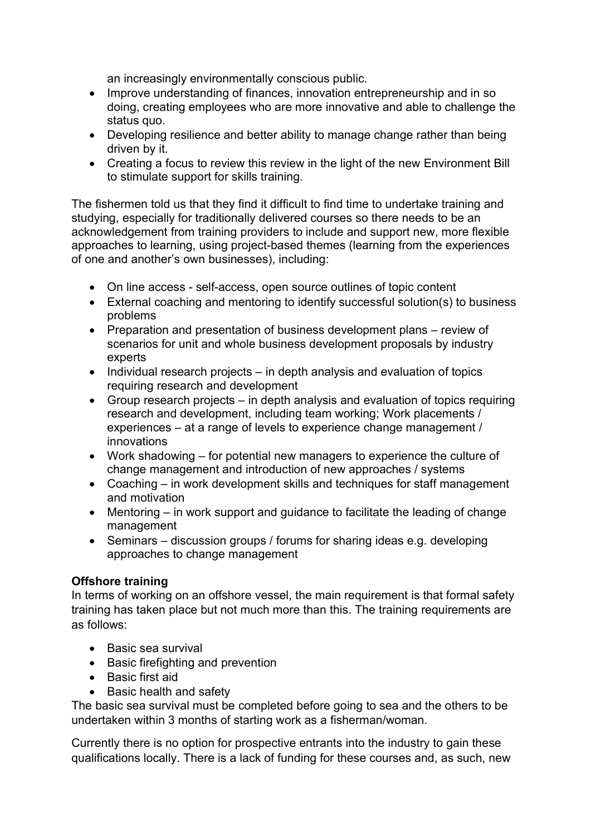an increasingly environmentally conscious public.

- Improve understanding of finances, innovation entrepreneurship and in so doing, creating employees who are more innovative and able to challenge the status quo.
- Developing resilience and better ability to manage change rather than being driven by it.
- Creating a focus to review this review in the light of the new Environment Bill to stimulate support for skills training.

The fishermen told us that they find it difficult to find time to undertake training and studying, especially for traditionally delivered courses so there needs to be an acknowledgement from training providers to include and support new, more flexible approaches to learning, using project-based themes (learning from the experiences of one and another's own businesses), including:

- On line access self-access, open source outlines of topic content
- External coaching and mentoring to identify successful solution(s) to business problems
- Preparation and presentation of business development plans review of scenarios for unit and whole business development proposals by industry experts
- $\bullet$  Individual research projects in depth analysis and evaluation of topics requiring research and development
- Group research projects in depth analysis and evaluation of topics requiring research and development, including team working; Work placements / experiences – at a range of levels to experience change management / innovations
- Work shadowing for potential new managers to experience the culture of change management and introduction of new approaches / systems
- Coaching in work development skills and techniques for staff management and motivation
- Mentoring in work support and guidance to facilitate the leading of change management
- Seminars discussion groups / forums for sharing ideas e.g. developing approaches to change management

### Offshore training

In terms of working on an offshore vessel, the main requirement is that formal safety training has taken place but not much more than this. The training requirements are as follows:

- Basic sea survival
- Basic firefighting and prevention
- Basic first aid
- Basic health and safety

The basic sea survival must be completed before going to sea and the others to be undertaken within 3 months of starting work as a fisherman/woman.

Currently there is no option for prospective entrants into the industry to gain these qualifications locally. There is a lack of funding for these courses and, as such, new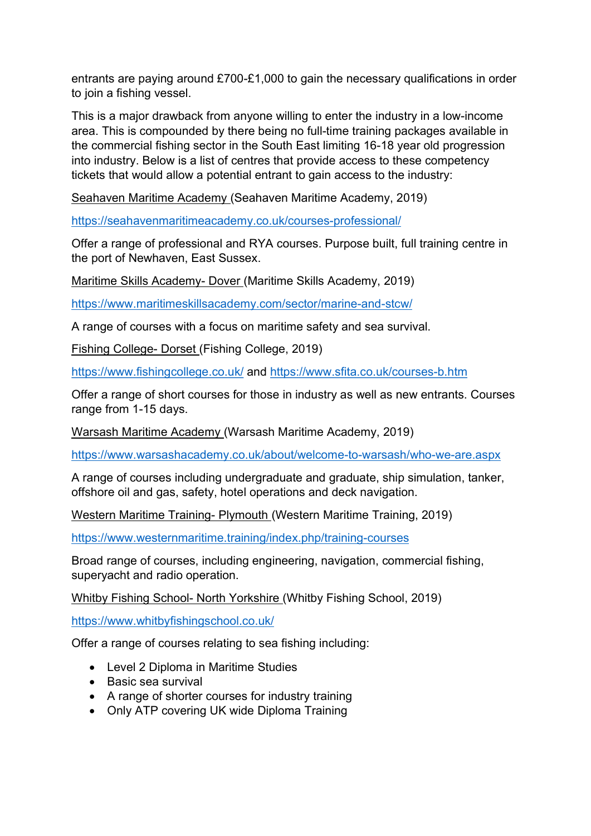entrants are paying around £700-£1,000 to gain the necessary qualifications in order to join a fishing vessel.

This is a major drawback from anyone willing to enter the industry in a low-income area. This is compounded by there being no full-time training packages available in the commercial fishing sector in the South East limiting 16-18 year old progression into industry. Below is a list of centres that provide access to these competency tickets that would allow a potential entrant to gain access to the industry:

Seahaven Maritime Academy (Seahaven Maritime Academy, 2019)

https://seahavenmaritimeacademy.co.uk/courses-professional/

Offer a range of professional and RYA courses. Purpose built, full training centre in the port of Newhaven, East Sussex.

Maritime Skills Academy- Dover (Maritime Skills Academy, 2019)

https://www.maritimeskillsacademy.com/sector/marine-and-stcw/

A range of courses with a focus on maritime safety and sea survival.

Fishing College- Dorset (Fishing College, 2019)

https://www.fishingcollege.co.uk/ and https://www.sfita.co.uk/courses-b.htm

Offer a range of short courses for those in industry as well as new entrants. Courses range from 1-15 days.

Warsash Maritime Academy (Warsash Maritime Academy, 2019)

https://www.warsashacademy.co.uk/about/welcome-to-warsash/who-we-are.aspx

A range of courses including undergraduate and graduate, ship simulation, tanker, offshore oil and gas, safety, hotel operations and deck navigation.

Western Maritime Training- Plymouth (Western Maritime Training, 2019)

https://www.westernmaritime.training/index.php/training-courses

Broad range of courses, including engineering, navigation, commercial fishing, superyacht and radio operation.

Whitby Fishing School- North Yorkshire (Whitby Fishing School, 2019)

https://www.whitbyfishingschool.co.uk/

Offer a range of courses relating to sea fishing including:

- Level 2 Diploma in Maritime Studies
- Basic sea survival
- A range of shorter courses for industry training
- Only ATP covering UK wide Diploma Training